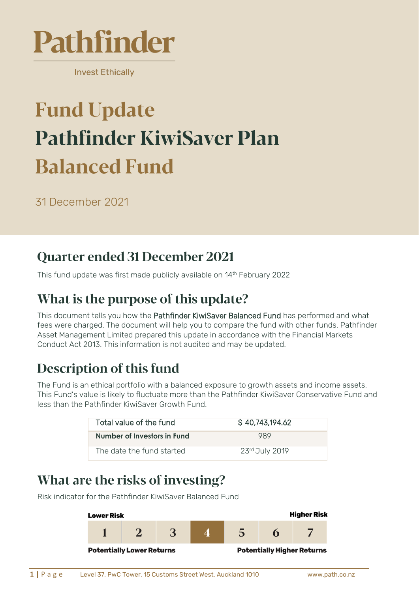

**Invest Ethically** 

# **Fund Update Pathfinder KiwiSaver Plan Balanced Fund**

31 December 2021

### **Quarter ended 31 December 2021**

This fund update was first made publicly available on 14<sup>th</sup> February 2022

# What is the purpose of this update?

This document tells you how the Pathfinder KiwiSaver Balanced Fund has performed and what fees were charged. The document will help you to compare the fund with other funds. Pathfinder Asset Management Limited prepared this update in accordance with the Financial Markets Conduct Act 2013. This information is not audited and may be updated.

# **Description of this fund**

The Fund is an ethical portfolio with a balanced exposure to growth assets and income assets. This Fund's value is likely to fluctuate more than the Pathfinder KiwiSaver Conservative Fund and less than the Pathfinder KiwiSaver Growth Fund.

| Total value of the fund     | S 40,743,194.62 |
|-----------------------------|-----------------|
| Number of Investors in Fund | 989             |
| The date the fund started   | 23rd July 2019  |

### What are the risks of investing?

Risk indicator for the Pathfinder KiwiSaver Balanced Fund

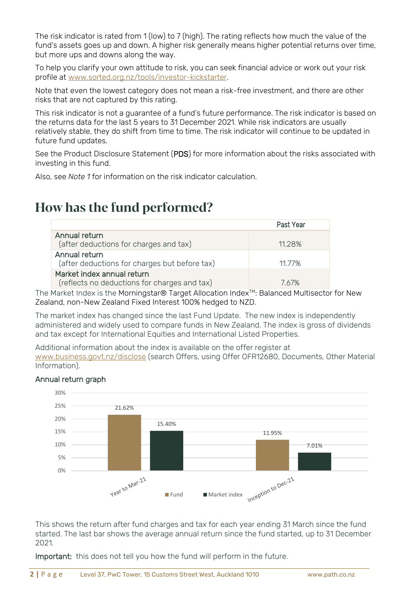The risk indicator is rated from 1 (low) to 7 (high). The rating reflects how much the value of the fund's assets goes up and down. A higher risk generally means higher potential returns over time, but more ups and downs along the way.

To help you clarify your own attitude to risk, you can seek financial advice or work out your risk profile at [www.sorted.org.nz/tools/investor-kickstarter.](http://www.sorted.org.nz/tools/investor-kickstarter)

Note that even the lowest category does not mean a risk-free investment, and there are other risks that are not captured by this rating.

This risk indicator is not a guarantee of a fund's future performance. The risk indicator is based on the returns data for the last 5 years to 31 December 2021. While risk indicators are usually relatively stable, they do shift from time to time. The risk indicator will continue to be updated in future fund updates.

See the Product Disclosure Statement (PDS) for more information about the risks associated with investing in this fund.

Also, see *Note 1* for information on the risk indicator calculation.

#### How has the fund performed?

|                                                                            | Past Year |
|----------------------------------------------------------------------------|-----------|
| Annual return<br>(after deductions for charges and tax)                    | 11.28%    |
| Annual return<br>(after deductions for charges but before tax)             | 11 77%    |
| Market index annual return<br>(reflects no deductions for charges and tax) | 767%      |

The Market Index is the Morningstar® Target Allocation Index<sup>™</sup>: Balanced Multisector for New Zealand, non-New Zealand Fixed Interest 100% hedged to NZD.

The market index has changed since the last Fund Update. The new index is independently administered and widely used to compare funds in New Zealand. The index is gross of dividends and tax except for International Equities and International Listed Properties.

Additional information about the index is available on the offer register at [www.business.govt.nz/disclose](http://www.business.govt.nz/disclose) (search Offers, using Offer OFR12680, Documents, Other Material Information).

#### Annual return graph



This shows the return after fund charges and tax for each year ending 31 March since the fund started. The last bar shows the average annual return since the fund started, up to 31 December 2021.

Important: this does not tell you how the fund will perform in the future.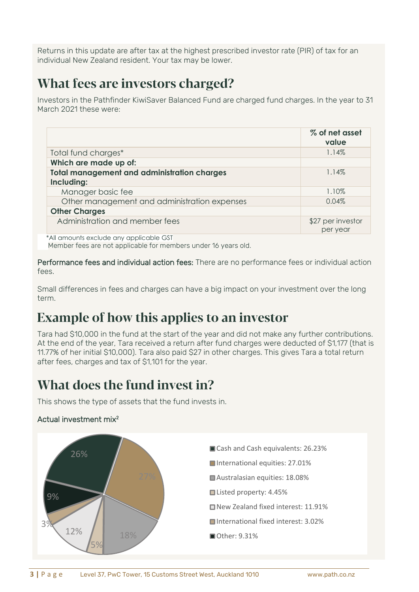Returns in this update are after tax at the highest prescribed investor rate (PIR) of tax for an individual New Zealand resident. Your tax may be lower.

### What fees are investors charged?

Investors in the Pathfinder KiwiSaver Balanced Fund are charged fund charges. In the year to 31 March 2021 these were:

|                                                                  | % of net asset<br>value       |
|------------------------------------------------------------------|-------------------------------|
| Total fund charges*                                              | 1.14%                         |
| Which are made up of:                                            |                               |
| <b>Total management and administration charges</b><br>Including: | $1.14\%$                      |
| Manager basic fee                                                | 1.10%                         |
| Other management and administration expenses                     | 0.04%                         |
| <b>Other Charges</b>                                             |                               |
| Administration and member fees                                   | \$27 per investor<br>per year |

\*All amounts exclude any applicable GST

Member fees are not applicable for members under 16 years old.

Performance fees and individual action fees: There are no performance fees or individual action fees.

Small differences in fees and charges can have a big impact on your investment over the long term.

# **Example of how this applies to an investor**

Tara had \$10,000 in the fund at the start of the year and did not make any further contributions. At the end of the year, Tara received a return after fund charges were deducted of \$1,177 (that is 11.77% of her initial \$10,000). Tara also paid \$27 in other charges. This gives Tara a total return after fees, charges and tax of \$1,101 for the year.

### What does the fund invest in?

This shows the type of assets that the fund invests in.

#### Actual investment mix<sup>2</sup>

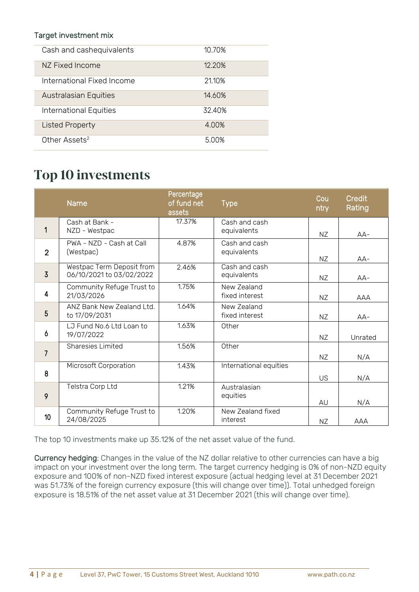#### Target investment mix

| Cash and cashequivalents     | 10.70% |
|------------------------------|--------|
| NZ Fixed Income              | 12.20% |
| International Fixed Income   | 21.10% |
| <b>Australasian Equities</b> | 14.60% |
| International Equities       | 32.40% |
| <b>Listed Property</b>       | 4.00%  |
| Other Assets <sup>2</sup>    | 5.00%  |

#### **Top 10 investments**

|                | <b>Name</b>                                           | Percentage<br>of fund net<br>assets | <b>Type</b>                   | Cou<br>ntry | Credit<br>Rating |
|----------------|-------------------------------------------------------|-------------------------------------|-------------------------------|-------------|------------------|
| 1              | Cash at Bank -<br>NZD - Westpac                       | 17.37%                              | Cash and cash<br>equivalents  | NZ          | $AA-$            |
| $\overline{2}$ | PWA - NZD - Cash at Call<br>(Westpac)                 | 4.87%                               | Cash and cash<br>equivalents  | NZ          | $AA-$            |
| $\overline{3}$ | Westpac Term Deposit from<br>06/10/2021 to 03/02/2022 | 2.46%                               | Cash and cash<br>equivalents  | NZ          | $AA-$            |
| 4              | Community Refuge Trust to<br>21/03/2026               | 1.75%                               | New Zealand<br>fixed interest | NZ          | <b>AAA</b>       |
| 5              | ANZ Bank New Zealand Ltd.<br>to 17/09/2031            | 1.64%                               | New Zealand<br>fixed interest | NZ          | $AA-$            |
| 6              | LJ Fund No.6 Ltd Loan to<br>19/07/2022                | 1.63%                               | Other                         | NZ          | Unrated          |
| $\overline{7}$ | Sharesies Limited                                     | 1.56%                               | Other                         | NZ          | N/A              |
| 8              | Microsoft Corporation                                 | 1.43%                               | International equities        | US          | N/A              |
| 9              | Telstra Corp Ltd                                      | 1.21%                               | Australasian<br>equities      | AU          | N/A              |
| 10             | Community Refuge Trust to<br>24/08/2025               | 1.20%                               | New Zealand fixed<br>interest | NZ          | <b>AAA</b>       |

The top 10 investments make up 35.12% of the net asset value of the fund.

Currency hedging: Changes in the value of the NZ dollar relative to other currencies can have a big impact on your investment over the long term. The target currency hedging is 0% of non-NZD equity exposure and 100% of non-NZD fixed interest exposure (actual hedging level at 31 December 2021 was 51.73% of the foreign currency exposure (this will change over time)). Total unhedged foreign exposure is 18.51% of the net asset value at 31 December 2021 (this will change over time).